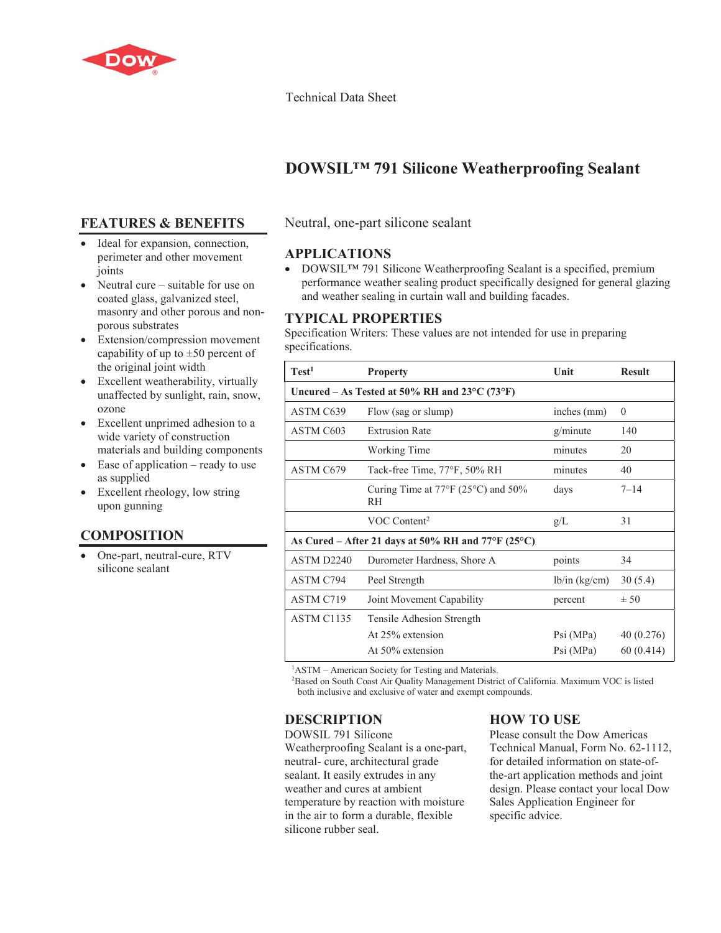

#### Technical Data Sheet

# **DOWSIL™ 791 Silicone Weatherproofing Sealant**

#### **FEATURES & BENEFITS**

- Ideal for expansion, connection, perimeter and other movement joints
- Neutral cure suitable for use on coated glass, galvanized steel, masonry and other porous and nonporous substrates
- Extension/compression movement capability of up to  $\pm 50$  percent of the original joint width
- Excellent weatherability, virtually unaffected by sunlight, rain, snow, ozone
- Excellent unprimed adhesion to a wide variety of construction materials and building components
- $\bullet$  Ease of application ready to use as supplied
- Excellent rheology, low string upon gunning

# **COMPOSITION**

• One-part, neutral-cure, RTV silicone sealant

#### Neutral, one-part silicone sealant

#### **APPLICATIONS**

• DOWSIL<sup>TM</sup> 791 Silicone Weatherproofing Sealant is a specified, premium performance weather sealing product specifically designed for general glazing and weather sealing in curtain wall and building facades.

#### **TYPICAL PROPERTIES**

Specification Writers: These values are not intended for use in preparing specifications.

| Test <sup>1</sup>                                       | <b>Property</b>                                                   | Unit          | <b>Result</b> |
|---------------------------------------------------------|-------------------------------------------------------------------|---------------|---------------|
| Uncured – As Tested at 50% RH and $23^{\circ}$ C (73°F) |                                                                   |               |               |
| ASTM C639                                               | Flow (sag or slump)                                               | inches (mm)   | $\theta$      |
| ASTM C603                                               | <b>Extrusion Rate</b>                                             | g/minute      | 140           |
|                                                         | Working Time                                                      | minutes       | 20            |
| ASTM C679                                               | Tack-free Time, 77°F, 50% RH                                      | minutes       | 40            |
|                                                         | Curing Time at $77^{\circ}F(25^{\circ}C)$ and $50\%$<br><b>RH</b> | days          | $7 - 14$      |
|                                                         | VOC Content <sup>2</sup>                                          | g/L           | 31            |
| As Cured - After 21 days at 50% RH and 77°F (25°C)      |                                                                   |               |               |
| ASTM D <sub>2240</sub>                                  | Durometer Hardness, Shore A                                       | points        | 34            |
| <b>ASTM C794</b>                                        | Peel Strength                                                     | lb/in (kg/cm) | 30(5.4)       |
| ASTM C719                                               | Joint Movement Capability                                         | percent       | ± 50          |
| ASTM C1135                                              | Tensile Adhesion Strength                                         |               |               |
|                                                         | At 25% extension                                                  | Psi(MPa)      | 40(0.276)     |
|                                                         | At 50% extension                                                  | Psi (MPa)     | 60(0.414)     |

<sup>1</sup>ASTM – American Society for Testing and Materials.

2 Based on South Coast Air Quality Management District of California. Maximum VOC is listed both inclusive and exclusive of water and exempt compounds.

#### **DESCRIPTION**

DOWSIL 791 Silicone Weatherproofing Sealant is a one-part, neutral- cure, architectural grade sealant. It easily extrudes in any weather and cures at ambient temperature by reaction with moisture in the air to form a durable, flexible silicone rubber seal.

# **HOW TO USE**

Please consult the Dow Americas Technical Manual, Form No. 62-1112, for detailed information on state-ofthe-art application methods and joint design. Please contact your local Dow Sales Application Engineer for specific advice.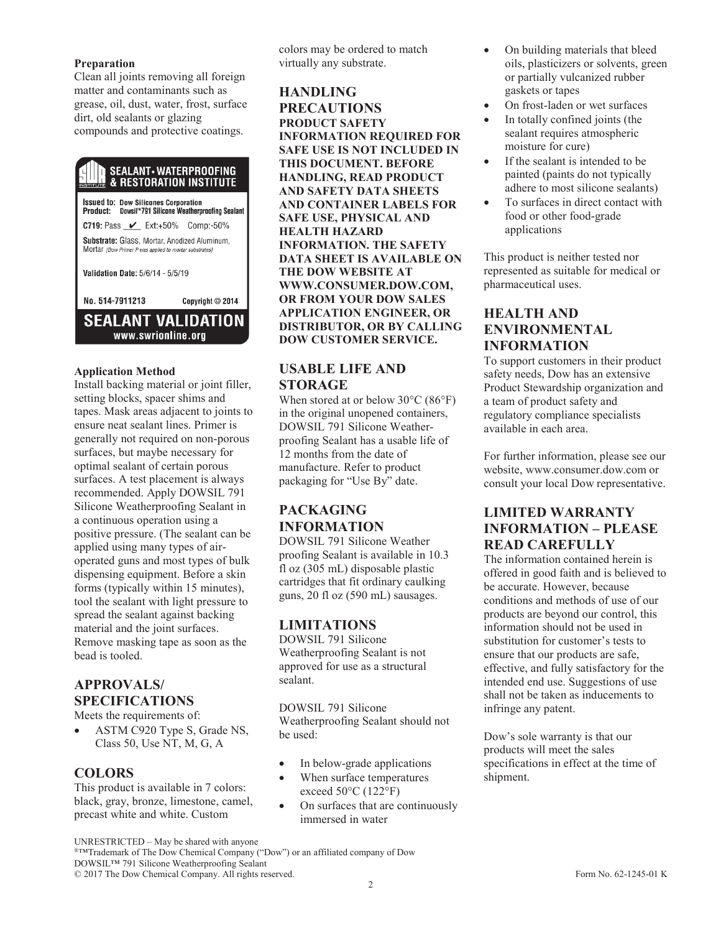#### **Preparation**

Clean all joints removing all foreign matter and contaminants such as grease, oil, dust, water, frost, surface dirt, old sealants or glazing compounds and protective coatings.

# **SEALANT • WATERPROOFING**<br>& RESTORATION INSTITUTE

**Issued to: Dow Silicones Corporation** Product: Dowsil<sup>18</sup>791 Silicone Weatherproofing Sealant C719: Pass <u>V</u> Ext:+50% Comp:-50% Substrate: Glass, Mortar, Anodized Aluminum, Mortar [Dow Primer P was applied to mortar substrates] Validation Date: 5/6/14 - 5/5/19 No. 514-7911213 Copyright © 2014 **SEALANT VALIDATION** 

www.swrionline.org

# **Application Method**

Install backing material or joint filler, setting blocks, spacer shims and tapes. Mask areas adjacent to joints to ensure neat sealant lines. Primer is generally not required on non-porous surfaces, but maybe necessary for optimal sealant of certain porous surfaces. A test placement is always recommended. Apply DOWSIL 791 Silicone Weatherproofing Sealant in a continuous operation using a positive pressure. (The sealant can be applied using many types of airoperated guns and most types of bulk dispensing equipment. Before a skin forms (typically within 15 minutes), tool the sealant with light pressure to spread the sealant against backing material and the joint surfaces. Remove masking tape as soon as the bead is tooled.

#### **APPROVALS/ SPECIFICATIONS**

Meets the requirements of:

ASTM C920 Type S, Grade NS, Class 50, Use NT, M, G, A

#### **COLORS**

This product is available in 7 colors: black, gray, bronze, limestone, camel, precast white and white. Custom

colors may be ordered to match virtually any substrate.

#### **HANDLING PRECAUTIONS PRODUCT SAFETY INFORMATION REQUIRED FOR SAFE USE IS NOT INCLUDED IN THIS DOCUMENT. BEFORE HANDLING, READ PRODUCT AND SAFETY DATA SHEETS AND CONTAINER LABELS FOR SAFE USE, PHYSICAL AND HEALTH HAZARD INFORMATION. THE SAFETY DATA SHEET IS AVAILABLE ON THE DOW WEBSITE AT WWW.CONSUMER.DOW.COM, OR FROM YOUR DOW SALES APPLICATION ENGINEER, OR DISTRIBUTOR, OR BY CALLING DOW CUSTOMER SERVICE.**

#### **USABLE LIFE AND STORAGE**

When stored at or below 30°C (86°F) in the original unopened containers, DOWSIL 791 Silicone Weatherproofing Sealant has a usable life of 12 months from the date of manufacture. Refer to product packaging for "Use By" date.

# **PACKAGING INFORMATION**

DOWSIL 791 Silicone Weather proofing Sealant is available in 10.3 fl oz (305 mL) disposable plastic cartridges that fit ordinary caulking guns, 20 fl oz (590 mL) sausages.

#### **LIMITATIONS**

DOWSIL 791 Silicone Weatherproofing Sealant is not approved for use as a structural sealant.

DOWSIL 791 Silicone Weatherproofing Sealant should not be used:

- In below-grade applications
- When surface temperatures exceed 50°C (122°F)
- On surfaces that are continuously immersed in water

On building materials that bleed oils, plasticizers or solvents, green or partially vulcanized rubber gaskets or tapes

- On frost-laden or wet surfaces
- In totally confined joints (the sealant requires atmospheric moisture for cure)
- If the sealant is intended to be painted (paints do not typically adhere to most silicone sealants)
- To surfaces in direct contact with food or other food-grade applications

This product is neither tested nor represented as suitable for medical or pharmaceutical uses.

# **HEALTH AND ENVIRONMENTAL INFORMATION**

To support customers in their product safety needs, Dow has an extensive Product Stewardship organization and a team of product safety and regulatory compliance specialists available in each area.

For further information, please see our website, www.consumer.dow.com or consult your local Dow representative.

# **LIMITED WARRANTY INFORMATION – PLEASE READ CAREFULLY**

The information contained herein is offered in good faith and is believed to be accurate. However, because conditions and methods of use of our products are beyond our control, this information should not be used in substitution for customer's tests to ensure that our products are safe, effective, and fully satisfactory for the intended end use. Suggestions of use shall not be taken as inducements to infringe any patent.

Dow's sole warranty is that our products will meet the sales specifications in effect at the time of shipment.

UNRESTRICTED – May be shared with anyone

®™Trademark of The Dow Chemical Company ("Dow") or an affiliated company of Dow DOWSIL™ 791 Silicone Weatherproofing Sealant

© 2017 The Dow Chemical Company. All rights reserved. Form No. 62-1245-01 K